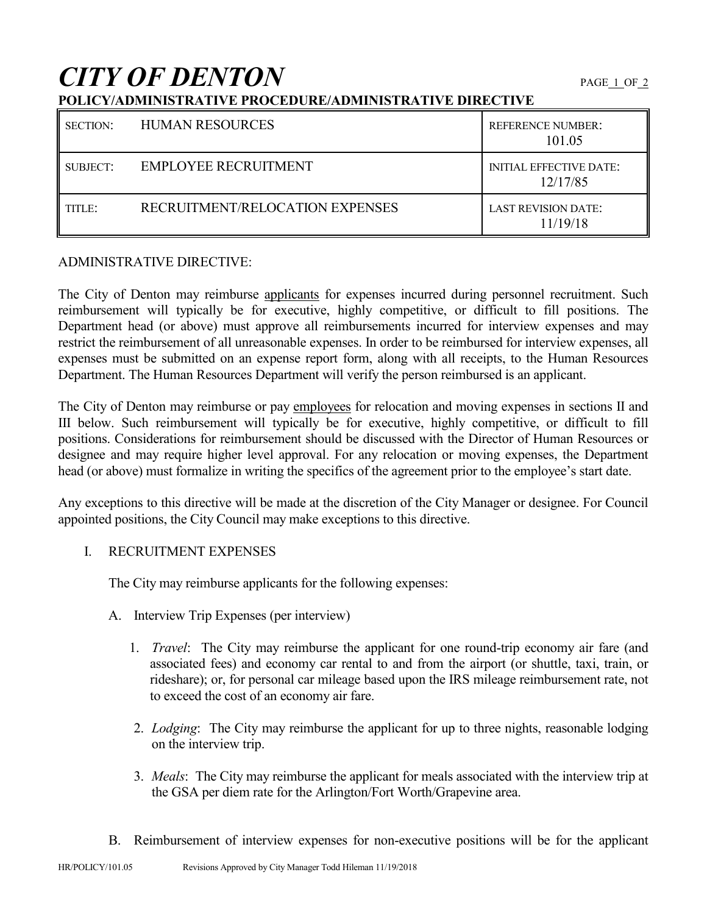# *CITY OF DENTON* PAGE 1 OF 2

## **POLICY/ADMINISTRATIVE PROCEDURE/ADMINISTRATIVE DIRECTIVE**

| <b>SECTION:</b> | <b>HUMAN RESOURCES</b>          | <b>REFERENCE NUMBER:</b><br>101.05         |
|-----------------|---------------------------------|--------------------------------------------|
| SUBJECT:        | <b>EMPLOYEE RECRUITMENT</b>     | <b>INITIAL EFFECTIVE DATE:</b><br>12/17/85 |
| TITLE:          | RECRUITMENT/RELOCATION EXPENSES | <b>LAST REVISION DATE:</b><br>11/19/18     |

#### ADMINISTRATIVE DIRECTIVE:

The City of Denton may reimburse applicants for expenses incurred during personnel recruitment. Such reimbursement will typically be for executive, highly competitive, or difficult to fill positions. The Department head (or above) must approve all reimbursements incurred for interview expenses and may restrict the reimbursement of all unreasonable expenses. In order to be reimbursed for interview expenses, all expenses must be submitted on an expense report form, along with all receipts, to the Human Resources Department. The Human Resources Department will verify the person reimbursed is an applicant.

The City of Denton may reimburse or pay employees for relocation and moving expenses in sections II and III below. Such reimbursement will typically be for executive, highly competitive, or difficult to fill positions. Considerations for reimbursement should be discussed with the Director of Human Resources or designee and may require higher level approval. For any relocation or moving expenses, the Department head (or above) must formalize in writing the specifics of the agreement prior to the employee's start date.

Any exceptions to this directive will be made at the discretion of the City Manager or designee. For Council appointed positions, the City Council may make exceptions to this directive.

### I. RECRUITMENT EXPENSES

The City may reimburse applicants for the following expenses:

- A. Interview Trip Expenses (per interview)
	- 1. *Travel*: The City may reimburse the applicant for one round-trip economy air fare (and associated fees) and economy car rental to and from the airport (or shuttle, taxi, train, or rideshare); or, for personal car mileage based upon the IRS mileage reimbursement rate, not to exceed the cost of an economy air fare.
	- 2. *Lodging*: The City may reimburse the applicant for up to three nights, reasonable lodging on the interview trip.
	- 3. *Meals*: The City may reimburse the applicant for meals associated with the interview trip at the GSA per diem rate for the Arlington/Fort Worth/Grapevine area.
- B. Reimbursement of interview expenses for non-executive positions will be for the applicant